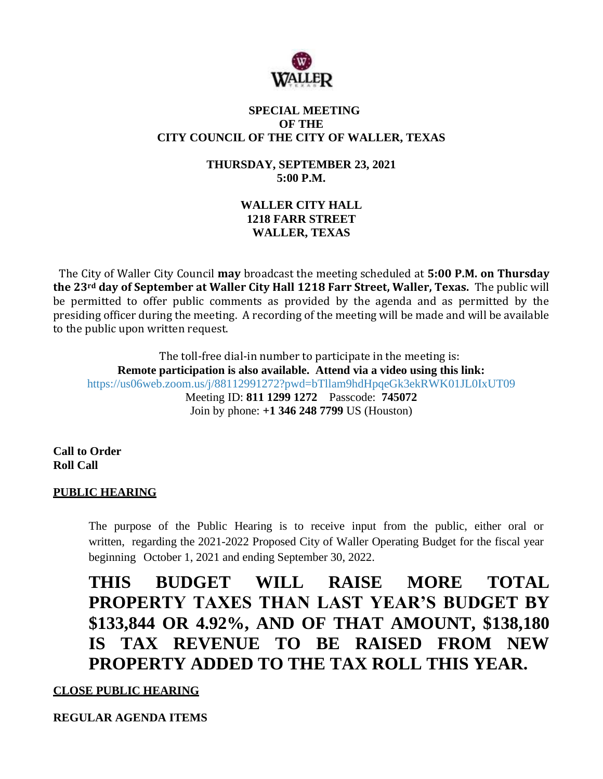

#### **SPECIAL MEETING OF THE CITY COUNCIL OF THE CITY OF WALLER, TEXAS**

**THURSDAY, SEPTEMBER 23, 2021 5:00 P.M.**

## **WALLER CITY HALL 1218 FARR STREET WALLER, TEXAS**

The City of Waller City Council **may** broadcast the meeting scheduled at **5:00 P.M. on Thursday the 23rd day of September at Waller City Hall 1218 Farr Street, Waller, Texas.** The public will be permitted to offer public comments as provided by the agenda and as permitted by the presiding officer during the meeting. A recording of the meeting will be made and will be available to the public upon written request.

The toll-free dial-in number to participate in the meeting is: **Remote participation is also available. Attend via a video using this link:** <https://us06web.zoom.us/j/88112991272?pwd=bTllam9hdHpqeGk3ekRWK01JL0IxUT09> Meeting ID: **811 1299 1272** Passcode: **745072** Join by phone: **+1 346 248 7799** US (Houston)

**Call to Order Roll Call**

### **PUBLIC HEARING**

The purpose of the Public Hearing is to receive input from the public, either oral or written, regarding the 2021-2022 Proposed City of Waller Operating Budget for the fiscal year beginning October 1, 2021 and ending September 30, 2022.

**THIS BUDGET WILL RAISE MORE TOTAL PROPERTY TAXES THAN LAST YEAR'S BUDGET BY \$133,844 OR 4.92%, AND OF THAT AMOUNT, \$138,180 IS TAX REVENUE TO BE RAISED FROM NEW PROPERTY ADDED TO THE TAX ROLL THIS YEAR.**

**CLOSE PUBLIC HEARING**

**REGULAR AGENDA ITEMS**